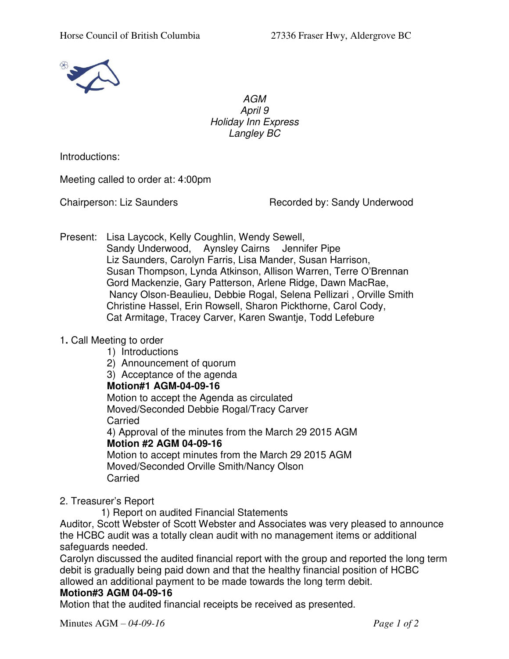

AGM April 9 Holiday Inn Express Langley BC

Introductions:

Meeting called to order at: 4:00pm

Chairperson: Liz Saunders Recorded by: Sandy Underwood

Present: Lisa Laycock, Kelly Coughlin, Wendy Sewell,

Sandy Underwood, Aynsley Cairns Jennifer Pipe Liz Saunders, Carolyn Farris, Lisa Mander, Susan Harrison, Susan Thompson, Lynda Atkinson, Allison Warren, Terre O'Brennan Gord Mackenzie, Gary Patterson, Arlene Ridge, Dawn MacRae, Nancy Olson-Beaulieu, Debbie Rogal, Selena Pellizari , Orville Smith Christine Hassel, Erin Rowsell, Sharon Pickthorne, Carol Cody, Cat Armitage, Tracey Carver, Karen Swantje, Todd Lefebure

### 1**.** Call Meeting to order

1) Introductions

2) Announcement of quorum

3) Acceptance of the agenda

#### **Motion#1 AGM-04-09-16**

Motion to accept the Agenda as circulated Moved/Seconded Debbie Rogal/Tracy Carver Carried

4) Approval of the minutes from the March 29 2015 AGM **Motion #2 AGM 04-09-16**

Motion to accept minutes from the March 29 2015 AGM Moved/Seconded Orville Smith/Nancy Olson Carried

2. Treasurer's Report

1) Report on audited Financial Statements

Auditor, Scott Webster of Scott Webster and Associates was very pleased to announce the HCBC audit was a totally clean audit with no management items or additional safeguards needed.

Carolyn discussed the audited financial report with the group and reported the long term debit is gradually being paid down and that the healthy financial position of HCBC allowed an additional payment to be made towards the long term debit.

### **Motion#3 AGM 04-09-16**

Motion that the audited financial receipts be received as presented.